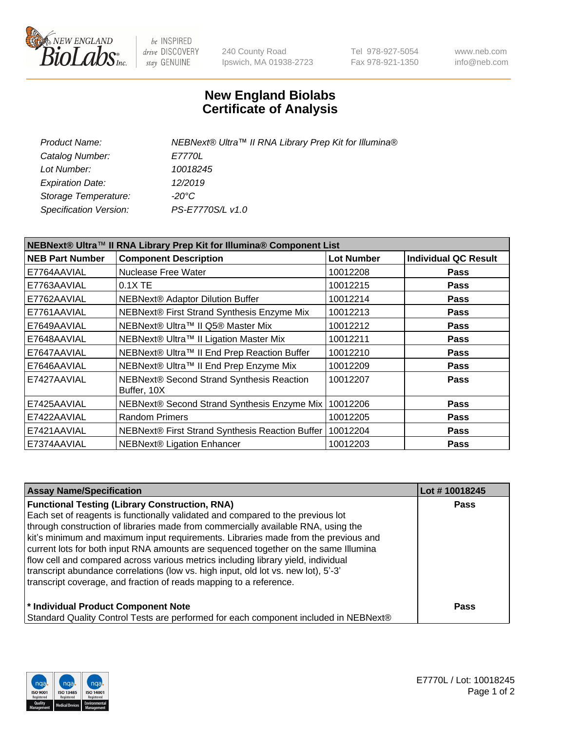

be INSPIRED drive DISCOVERY stay GENUINE

240 County Road Ipswich, MA 01938-2723 Tel 978-927-5054 Fax 978-921-1350 www.neb.com info@neb.com

## **New England Biolabs Certificate of Analysis**

| Product Name:           | NEBNext® Ultra™ II RNA Library Prep Kit for Illumina® |
|-------------------------|-------------------------------------------------------|
| Catalog Number:         | <i>E7770L</i>                                         |
| Lot Number:             | 10018245                                              |
| <b>Expiration Date:</b> | 12/2019                                               |
| Storage Temperature:    | -20°C                                                 |
| Specification Version:  | PS-E7770S/L v1.0                                      |
|                         |                                                       |

| NEBNext® Ultra™ II RNA Library Prep Kit for Illumina® Component List |                                                            |                   |                             |  |  |
|----------------------------------------------------------------------|------------------------------------------------------------|-------------------|-----------------------------|--|--|
| <b>NEB Part Number</b>                                               | <b>Component Description</b>                               | <b>Lot Number</b> | <b>Individual QC Result</b> |  |  |
| E7764AAVIAL                                                          | Nuclease Free Water                                        | 10012208          | <b>Pass</b>                 |  |  |
| E7763AAVIAL                                                          | $0.1X$ TE                                                  | 10012215          | <b>Pass</b>                 |  |  |
| E7762AAVIAL                                                          | <b>NEBNext® Adaptor Dilution Buffer</b>                    | 10012214          | <b>Pass</b>                 |  |  |
| E7761AAVIAL                                                          | NEBNext® First Strand Synthesis Enzyme Mix                 | 10012213          | <b>Pass</b>                 |  |  |
| E7649AAVIAL                                                          | NEBNext® Ultra™ II Q5® Master Mix                          | 10012212          | <b>Pass</b>                 |  |  |
| E7648AAVIAL                                                          | NEBNext® Ultra™ II Ligation Master Mix                     | 10012211          | <b>Pass</b>                 |  |  |
| E7647AAVIAL                                                          | NEBNext® Ultra™ II End Prep Reaction Buffer                | 10012210          | <b>Pass</b>                 |  |  |
| E7646AAVIAL                                                          | NEBNext® Ultra™ II End Prep Enzyme Mix                     | 10012209          | <b>Pass</b>                 |  |  |
| E7427AAVIAL                                                          | NEBNext® Second Strand Synthesis Reaction<br>Buffer, 10X   | 10012207          | <b>Pass</b>                 |  |  |
| E7425AAVIAL                                                          | NEBNext® Second Strand Synthesis Enzyme Mix                | 10012206          | <b>Pass</b>                 |  |  |
| E7422AAVIAL                                                          | <b>Random Primers</b>                                      | 10012205          | <b>Pass</b>                 |  |  |
| E7421AAVIAL                                                          | NEBNext® First Strand Synthesis Reaction Buffer   10012204 |                   | <b>Pass</b>                 |  |  |
| E7374AAVIAL                                                          | NEBNext® Ligation Enhancer                                 | 10012203          | <b>Pass</b>                 |  |  |

| <b>Assay Name/Specification</b>                                                      | Lot #10018245 |
|--------------------------------------------------------------------------------------|---------------|
| <b>Functional Testing (Library Construction, RNA)</b>                                | <b>Pass</b>   |
| Each set of reagents is functionally validated and compared to the previous lot      |               |
| through construction of libraries made from commercially available RNA, using the    |               |
| kit's minimum and maximum input requirements. Libraries made from the previous and   |               |
| current lots for both input RNA amounts are sequenced together on the same Illumina  |               |
| flow cell and compared across various metrics including library yield, individual    |               |
| transcript abundance correlations (low vs. high input, old lot vs. new lot), 5'-3'   |               |
| transcript coverage, and fraction of reads mapping to a reference.                   |               |
| * Individual Product Component Note                                                  | <b>Pass</b>   |
| Standard Quality Control Tests are performed for each component included in NEBNext® |               |